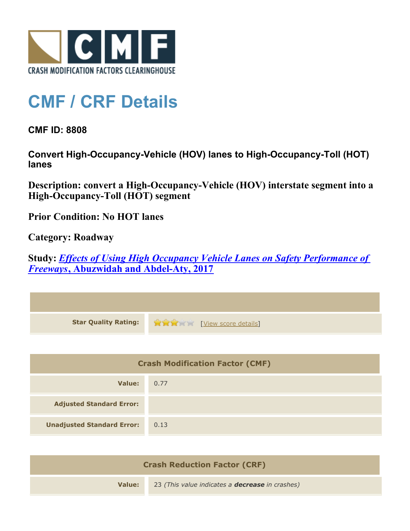

## **CMF / CRF Details**

**CMF ID: 8808**

**Convert High-Occupancy-Vehicle (HOV) lanes to High-Occupancy-Toll (HOT) lanes**

**Description: convert a High-Occupancy-Vehicle (HOV) interstate segment into a High-Occupancy-Toll (HOT) segment**

**Prior Condition: No HOT lanes**

**Category: Roadway**

**Study:** *[Effects of Using High Occupancy Vehicle Lanes on Safety Performance of](http://www.cmfclearinghouse.org/study_detail.cfm?stid=491) [Freeways](http://www.cmfclearinghouse.org/study_detail.cfm?stid=491)***[, Abuzwidah and Abdel-Aty, 2017](http://www.cmfclearinghouse.org/study_detail.cfm?stid=491)**

| <b>Star Quality Rating:</b>            | View score details |
|----------------------------------------|--------------------|
|                                        |                    |
| <b>Crash Modification Factor (CMF)</b> |                    |
| <b>Value:</b>                          | 0.77               |
| <b>Adjusted Standard Error:</b>        |                    |
| <b>Unadjusted Standard Error:</b>      | 0.13               |
|                                        |                    |

| <b>Crash Reduction Factor (CRF)</b> |                                                        |
|-------------------------------------|--------------------------------------------------------|
| Value:                              | 23 (This value indicates a <b>decrease</b> in crashes) |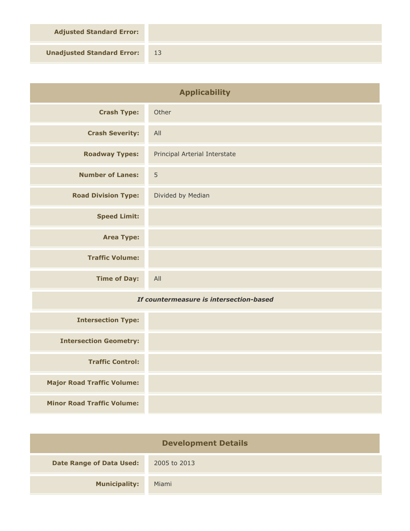**Adjusted Standard Error:**

**Unadjusted Standard Error:** 13

| <b>Applicability</b>                    |                               |
|-----------------------------------------|-------------------------------|
| <b>Crash Type:</b>                      | Other                         |
| <b>Crash Severity:</b>                  | All                           |
| <b>Roadway Types:</b>                   | Principal Arterial Interstate |
| <b>Number of Lanes:</b>                 | 5                             |
| <b>Road Division Type:</b>              | Divided by Median             |
| <b>Speed Limit:</b>                     |                               |
| <b>Area Type:</b>                       |                               |
| <b>Traffic Volume:</b>                  |                               |
| <b>Time of Day:</b>                     | All                           |
| If countermeasure is intersection-based |                               |
| <b>Intersection Type:</b>               |                               |
| <b>Intersection Geometry:</b>           |                               |
| <b>Traffic Control:</b>                 |                               |
| <b>Major Road Traffic Volume:</b>       |                               |
| <b>Minor Road Traffic Volume:</b>       |                               |

| <b>Development Details</b>      |              |  |
|---------------------------------|--------------|--|
| <b>Date Range of Data Used:</b> | 2005 to 2013 |  |
| <b>Municipality:</b>            | Miami        |  |